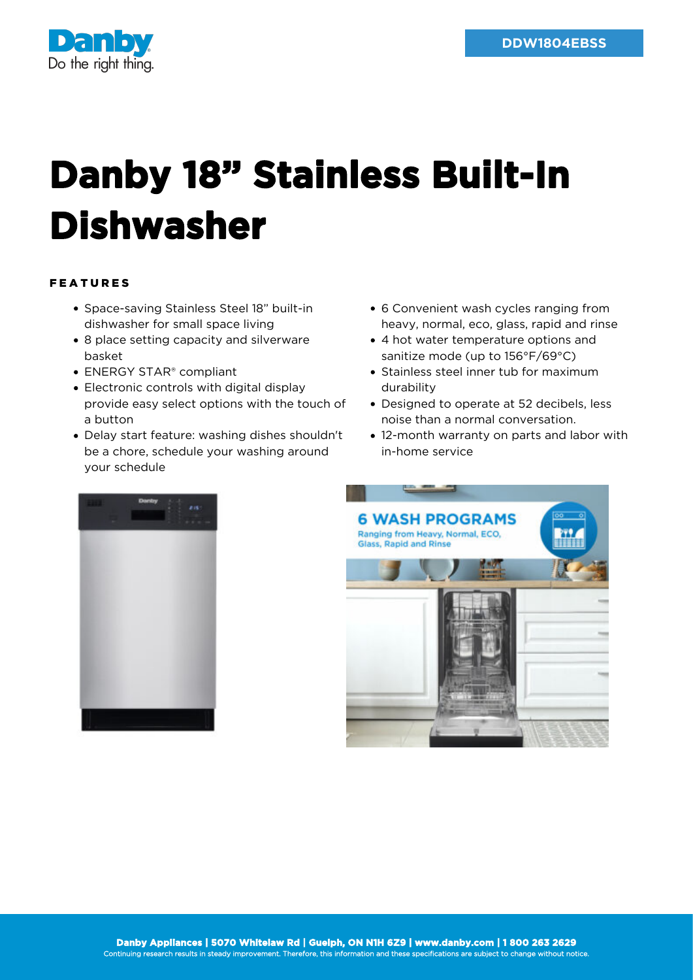

## **Danby 18" Stainless Built-In Dishwasher**

## FEATURES

- Space-saving Stainless Steel 18" built-in dishwasher for small space living
- 8 place setting capacity and silverware basket
- ENERGY STAR® compliant
- Electronic controls with digital display provide easy select options with the touch of a button
- Delay start feature: washing dishes shouldn't be a chore, schedule your washing around your schedule
- 6 Convenient wash cycles ranging from heavy, normal, eco, glass, rapid and rinse
- 4 hot water temperature options and sanitize mode (up to 156°F/69°C)
- Stainless steel inner tub for maximum durability
- Designed to operate at 52 decibels, less noise than a normal conversation.
- 12-month warranty on parts and labor with in-home service